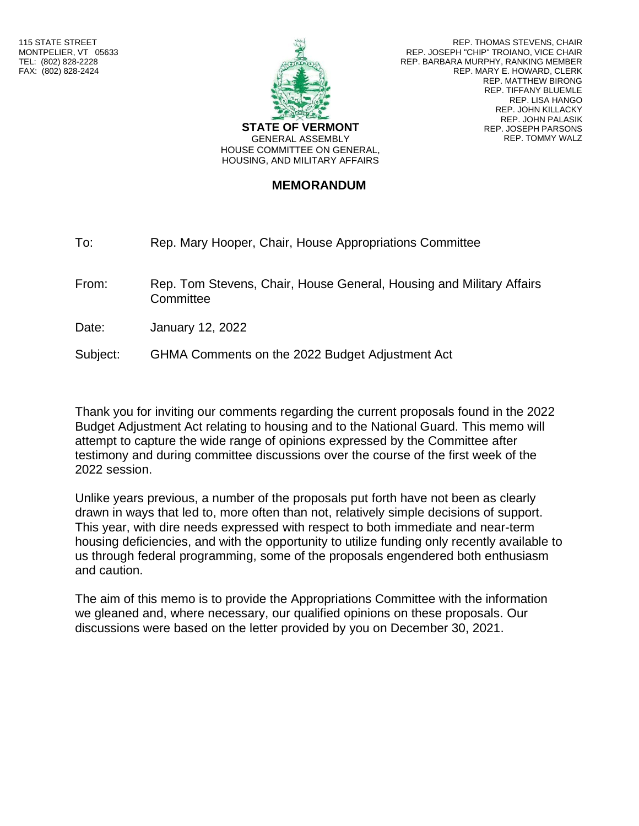

GENERAL ASSEMBLY HOUSE COMMITTEE ON GENERAL, HOUSING, AND MILITARY AFFAIRS

REP. THOMAS STEVENS, CHAIR REP. JOSEPH "CHIP" TROIANO, VICE CHAIR REP. BARBARA MURPHY, RANKING MEMBER REP. MARY E. HOWARD, CLERK REP. MATTHEW BIRONG REP. TIFFANY BLUEMLE REP. LISA HANGO REP. JOHN KILLACKY REP. JOHN PALASIK REP. JOSEPH PARSONS REP. TOMMY WALZ

**MEMORANDUM**

To: Rep. Mary Hooper, Chair, House Appropriations Committee

From: Rep. Tom Stevens, Chair, House General, Housing and Military Affairs **Committee** 

Date: January 12, 2022

Subject: GHMA Comments on the 2022 Budget Adjustment Act

Thank you for inviting our comments regarding the current proposals found in the 2022 Budget Adjustment Act relating to housing and to the National Guard. This memo will attempt to capture the wide range of opinions expressed by the Committee after testimony and during committee discussions over the course of the first week of the 2022 session.

Unlike years previous, a number of the proposals put forth have not been as clearly drawn in ways that led to, more often than not, relatively simple decisions of support. This year, with dire needs expressed with respect to both immediate and near-term housing deficiencies, and with the opportunity to utilize funding only recently available to us through federal programming, some of the proposals engendered both enthusiasm and caution.

The aim of this memo is to provide the Appropriations Committee with the information we gleaned and, where necessary, our qualified opinions on these proposals. Our discussions were based on the letter provided by you on December 30, 2021.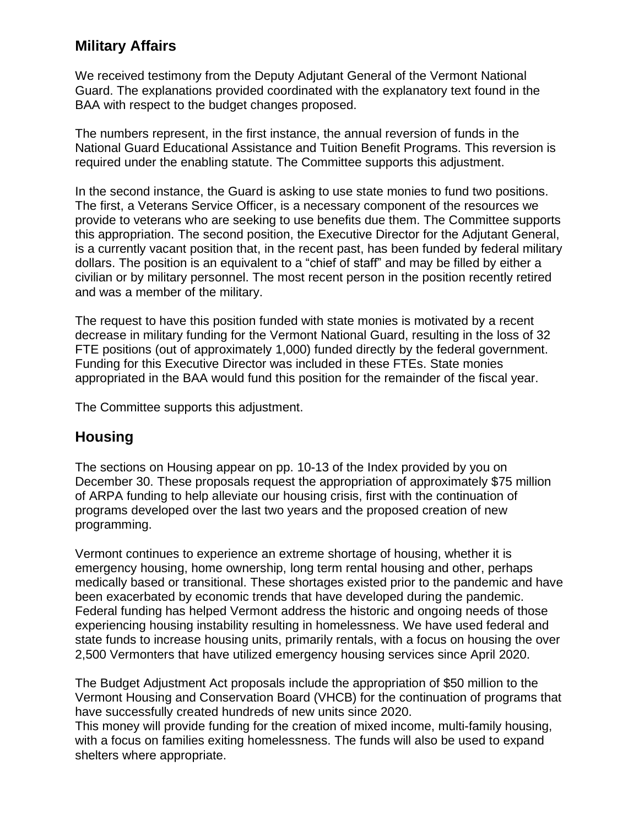## **Military Affairs**

We received testimony from the Deputy Adjutant General of the Vermont National Guard. The explanations provided coordinated with the explanatory text found in the BAA with respect to the budget changes proposed.

The numbers represent, in the first instance, the annual reversion of funds in the National Guard Educational Assistance and Tuition Benefit Programs. This reversion is required under the enabling statute. The Committee supports this adjustment.

In the second instance, the Guard is asking to use state monies to fund two positions. The first, a Veterans Service Officer, is a necessary component of the resources we provide to veterans who are seeking to use benefits due them. The Committee supports this appropriation. The second position, the Executive Director for the Adjutant General, is a currently vacant position that, in the recent past, has been funded by federal military dollars. The position is an equivalent to a "chief of staff" and may be filled by either a civilian or by military personnel. The most recent person in the position recently retired and was a member of the military.

The request to have this position funded with state monies is motivated by a recent decrease in military funding for the Vermont National Guard, resulting in the loss of 32 FTE positions (out of approximately 1,000) funded directly by the federal government. Funding for this Executive Director was included in these FTEs. State monies appropriated in the BAA would fund this position for the remainder of the fiscal year.

The Committee supports this adjustment.

## **Housing**

The sections on Housing appear on pp. 10-13 of the Index provided by you on December 30. These proposals request the appropriation of approximately \$75 million of ARPA funding to help alleviate our housing crisis, first with the continuation of programs developed over the last two years and the proposed creation of new programming.

Vermont continues to experience an extreme shortage of housing, whether it is emergency housing, home ownership, long term rental housing and other, perhaps medically based or transitional. These shortages existed prior to the pandemic and have been exacerbated by economic trends that have developed during the pandemic. Federal funding has helped Vermont address the historic and ongoing needs of those experiencing housing instability resulting in homelessness. We have used federal and state funds to increase housing units, primarily rentals, with a focus on housing the over 2,500 Vermonters that have utilized emergency housing services since April 2020.

The Budget Adjustment Act proposals include the appropriation of \$50 million to the Vermont Housing and Conservation Board (VHCB) for the continuation of programs that have successfully created hundreds of new units since 2020.

This money will provide funding for the creation of mixed income, multi-family housing, with a focus on families exiting homelessness. The funds will also be used to expand shelters where appropriate.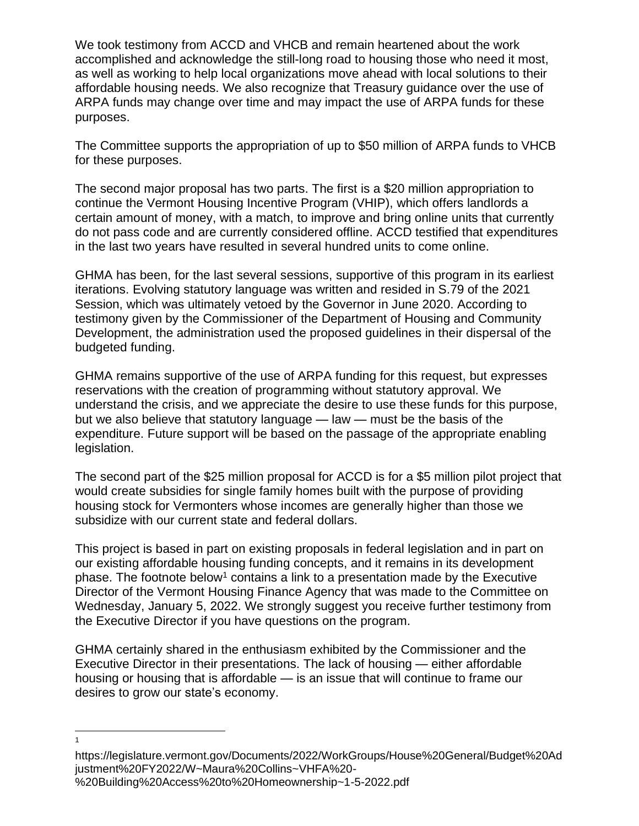We took testimony from ACCD and VHCB and remain heartened about the work accomplished and acknowledge the still-long road to housing those who need it most, as well as working to help local organizations move ahead with local solutions to their affordable housing needs. We also recognize that Treasury guidance over the use of ARPA funds may change over time and may impact the use of ARPA funds for these purposes.

The Committee supports the appropriation of up to \$50 million of ARPA funds to VHCB for these purposes.

The second major proposal has two parts. The first is a \$20 million appropriation to continue the Vermont Housing Incentive Program (VHIP), which offers landlords a certain amount of money, with a match, to improve and bring online units that currently do not pass code and are currently considered offline. ACCD testified that expenditures in the last two years have resulted in several hundred units to come online.

GHMA has been, for the last several sessions, supportive of this program in its earliest iterations. Evolving statutory language was written and resided in S.79 of the 2021 Session, which was ultimately vetoed by the Governor in June 2020. According to testimony given by the Commissioner of the Department of Housing and Community Development, the administration used the proposed guidelines in their dispersal of the budgeted funding.

GHMA remains supportive of the use of ARPA funding for this request, but expresses reservations with the creation of programming without statutory approval. We understand the crisis, and we appreciate the desire to use these funds for this purpose, but we also believe that statutory language — law — must be the basis of the expenditure. Future support will be based on the passage of the appropriate enabling legislation.

The second part of the \$25 million proposal for ACCD is for a \$5 million pilot project that would create subsidies for single family homes built with the purpose of providing housing stock for Vermonters whose incomes are generally higher than those we subsidize with our current state and federal dollars.

This project is based in part on existing proposals in federal legislation and in part on our existing affordable housing funding concepts, and it remains in its development phase. The footnote below<sup>1</sup> contains a link to a presentation made by the Executive Director of the Vermont Housing Finance Agency that was made to the Committee on Wednesday, January 5, 2022. We strongly suggest you receive further testimony from the Executive Director if you have questions on the program.

GHMA certainly shared in the enthusiasm exhibited by the Commissioner and the Executive Director in their presentations. The lack of housing — either affordable housing or housing that is affordable — is an issue that will continue to frame our desires to grow our state's economy.

1

https://legislature.vermont.gov/Documents/2022/WorkGroups/House%20General/Budget%20Ad justment%20FY2022/W~Maura%20Collins~VHFA%20- %20Building%20Access%20to%20Homeownership~1-5-2022.pdf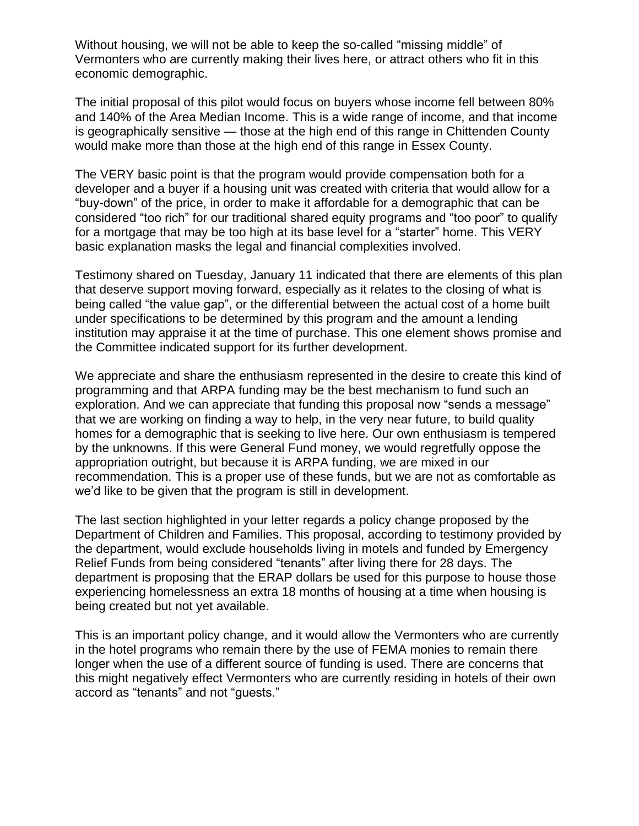Without housing, we will not be able to keep the so-called "missing middle" of Vermonters who are currently making their lives here, or attract others who fit in this economic demographic.

The initial proposal of this pilot would focus on buyers whose income fell between 80% and 140% of the Area Median Income. This is a wide range of income, and that income is geographically sensitive — those at the high end of this range in Chittenden County would make more than those at the high end of this range in Essex County.

The VERY basic point is that the program would provide compensation both for a developer and a buyer if a housing unit was created with criteria that would allow for a "buy-down" of the price, in order to make it affordable for a demographic that can be considered "too rich" for our traditional shared equity programs and "too poor" to qualify for a mortgage that may be too high at its base level for a "starter" home. This VERY basic explanation masks the legal and financial complexities involved.

Testimony shared on Tuesday, January 11 indicated that there are elements of this plan that deserve support moving forward, especially as it relates to the closing of what is being called "the value gap", or the differential between the actual cost of a home built under specifications to be determined by this program and the amount a lending institution may appraise it at the time of purchase. This one element shows promise and the Committee indicated support for its further development.

We appreciate and share the enthusiasm represented in the desire to create this kind of programming and that ARPA funding may be the best mechanism to fund such an exploration. And we can appreciate that funding this proposal now "sends a message" that we are working on finding a way to help, in the very near future, to build quality homes for a demographic that is seeking to live here. Our own enthusiasm is tempered by the unknowns. If this were General Fund money, we would regretfully oppose the appropriation outright, but because it is ARPA funding, we are mixed in our recommendation. This is a proper use of these funds, but we are not as comfortable as we'd like to be given that the program is still in development.

The last section highlighted in your letter regards a policy change proposed by the Department of Children and Families. This proposal, according to testimony provided by the department, would exclude households living in motels and funded by Emergency Relief Funds from being considered "tenants" after living there for 28 days. The department is proposing that the ERAP dollars be used for this purpose to house those experiencing homelessness an extra 18 months of housing at a time when housing is being created but not yet available.

This is an important policy change, and it would allow the Vermonters who are currently in the hotel programs who remain there by the use of FEMA monies to remain there longer when the use of a different source of funding is used. There are concerns that this might negatively effect Vermonters who are currently residing in hotels of their own accord as "tenants" and not "guests."